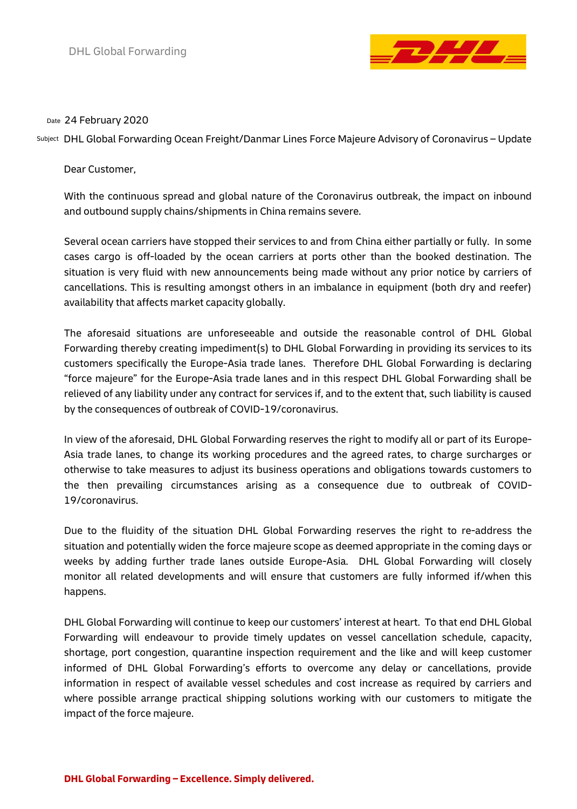

## 24 February 2020 Date

DHL Global Forwarding Ocean Freight/Danmar Lines Force Majeure Advisory of Coronavirus – Update Subject

Dear Customer,

With the continuous spread and global nature of the Coronavirus outbreak, the impact on inbound and outbound supply chains/shipments in China remains severe.

Several ocean carriers have stopped their services to and from China either partially or fully. In some cases cargo is off-loaded by the ocean carriers at ports other than the booked destination. The situation is very fluid with new announcements being made without any prior notice by carriers of cancellations. This is resulting amongst others in an imbalance in equipment (both dry and reefer) availability that affects market capacity globally.

The aforesaid situations are unforeseeable and outside the reasonable control of DHL Global Forwarding thereby creating impediment(s) to DHL Global Forwarding in providing its services to its customers specifically the Europe-Asia trade lanes. Therefore DHL Global Forwarding is declaring "force majeure" for the Europe-Asia trade lanes and in this respect DHL Global Forwarding shall be relieved of any liability under any contract for services if, and to the extent that, such liability is caused by the consequences of outbreak of COVID-19/coronavirus.

In view of the aforesaid, DHL Global Forwarding reserves the right to modify all or part of its Europe-Asia trade lanes, to change its working procedures and the agreed rates, to charge surcharges or otherwise to take measures to adjust its business operations and obligations towards customers to the then prevailing circumstances arising as a consequence due to outbreak of COVID-19/coronavirus.

Due to the fluidity of the situation DHL Global Forwarding reserves the right to re-address the situation and potentially widen the force majeure scope as deemed appropriate in the coming days or weeks by adding further trade lanes outside Europe-Asia. DHL Global Forwarding will closely monitor all related developments and will ensure that customers are fully informed if/when this happens.

DHL Global Forwarding will continue to keep our customers' interest at heart. To that end DHL Global Forwarding will endeavour to provide timely updates on vessel cancellation schedule, capacity, shortage, port congestion, quarantine inspection requirement and the like and will keep customer informed of DHL Global Forwarding's efforts to overcome any delay or cancellations, provide information in respect of available vessel schedules and cost increase as required by carriers and where possible arrange practical shipping solutions working with our customers to mitigate the impact of the force majeure.